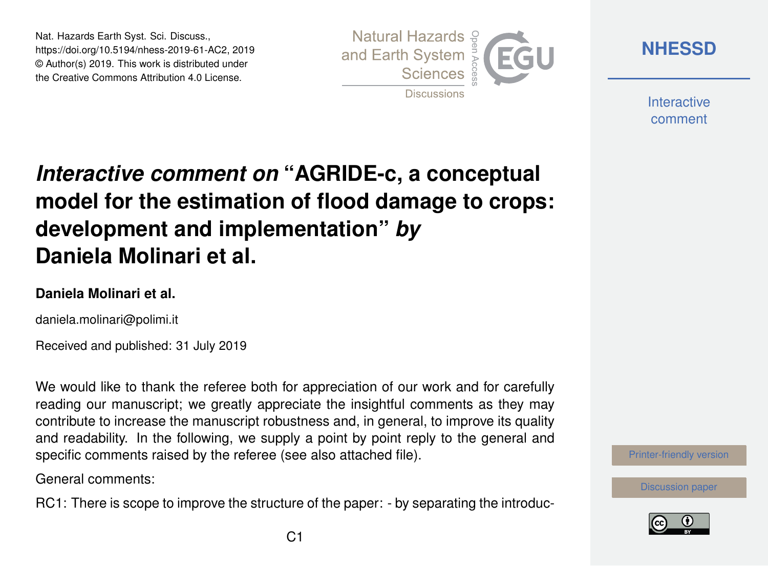Nat. Hazards Earth Syst. Sci. Discuss., https://doi.org/10.5194/nhess-2019-61-AC2, 2019 © Author(s) 2019. This work is distributed under the Creative Commons Attribution 4.0 License.



**[NHESSD](https://www.nat-hazards-earth-syst-sci-discuss.net/)**

**Interactive** comment

# *Interactive comment on* **"AGRIDE-c, a conceptual model for the estimation of flood damage to crops: development and implementation"** *by* **Daniela Molinari et al.**

#### **Daniela Molinari et al.**

daniela.molinari@polimi.it

Received and published: 31 July 2019

We would like to thank the referee both for appreciation of our work and for carefully reading our manuscript; we greatly appreciate the insightful comments as they may contribute to increase the manuscript robustness and, in general, to improve its quality and readability. In the following, we supply a point by point reply to the general and specific comments raised by the referee (see also attached file).

General comments:

RC1: There is scope to improve the structure of the paper: - by separating the introduc-



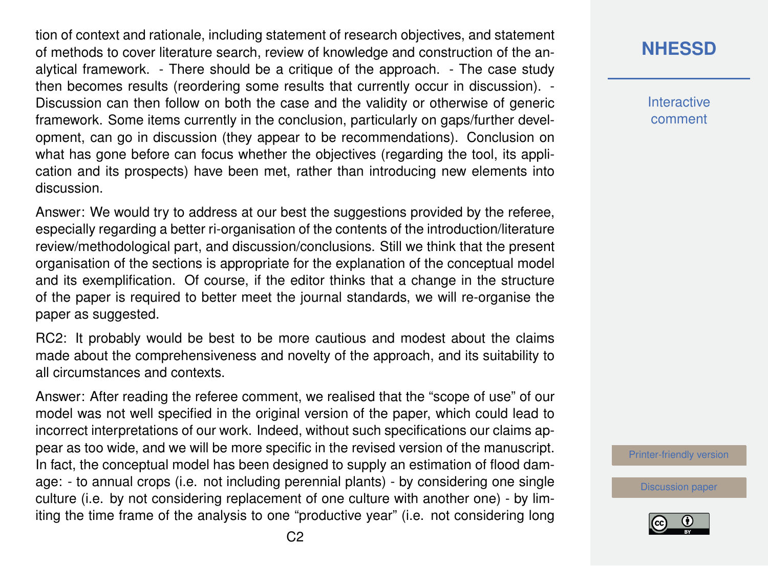tion of context and rationale, including statement of research objectives, and statement of methods to cover literature search, review of knowledge and construction of the analytical framework. - There should be a critique of the approach. - The case study then becomes results (reordering some results that currently occur in discussion). - Discussion can then follow on both the case and the validity or otherwise of generic framework. Some items currently in the conclusion, particularly on gaps/further development, can go in discussion (they appear to be recommendations). Conclusion on what has gone before can focus whether the objectives (regarding the tool, its application and its prospects) have been met, rather than introducing new elements into discussion.

Answer: We would try to address at our best the suggestions provided by the referee, especially regarding a better ri-organisation of the contents of the introduction/literature review/methodological part, and discussion/conclusions. Still we think that the present organisation of the sections is appropriate for the explanation of the conceptual model and its exemplification. Of course, if the editor thinks that a change in the structure of the paper is required to better meet the journal standards, we will re-organise the paper as suggested.

RC2: It probably would be best to be more cautious and modest about the claims made about the comprehensiveness and novelty of the approach, and its suitability to all circumstances and contexts.

Answer: After reading the referee comment, we realised that the "scope of use" of our model was not well specified in the original version of the paper, which could lead to incorrect interpretations of our work. Indeed, without such specifications our claims appear as too wide, and we will be more specific in the revised version of the manuscript. In fact, the conceptual model has been designed to supply an estimation of flood damage: - to annual crops (i.e. not including perennial plants) - by considering one single culture (i.e. by not considering replacement of one culture with another one) - by limiting the time frame of the analysis to one "productive year" (i.e. not considering long

**[NHESSD](https://www.nat-hazards-earth-syst-sci-discuss.net/)**

**Interactive** comment

[Printer-friendly version](https://www.nat-hazards-earth-syst-sci-discuss.net/nhess-2019-61/nhess-2019-61-AC2-print.pdf)

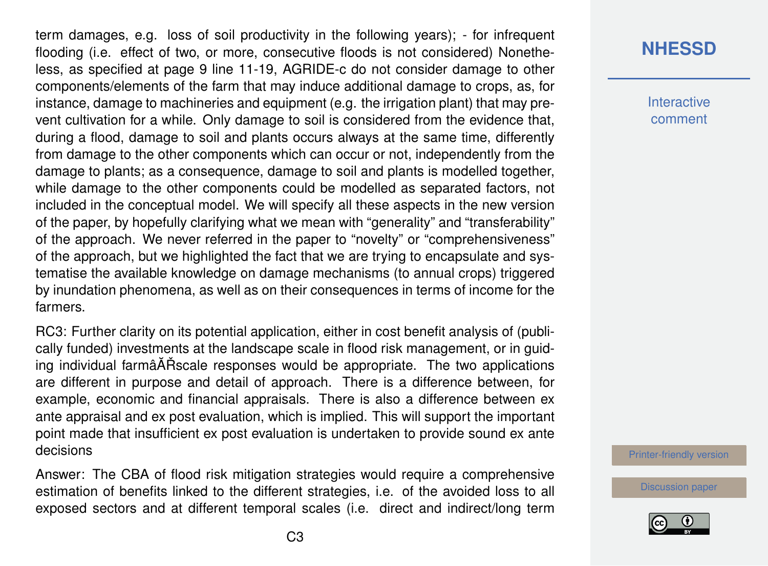term damages, e.g. loss of soil productivity in the following years); - for infrequent flooding (i.e. effect of two, or more, consecutive floods is not considered) Nonetheless, as specified at page 9 line 11-19, AGRIDE-c do not consider damage to other components/elements of the farm that may induce additional damage to crops, as, for instance, damage to machineries and equipment (e.g. the irrigation plant) that may prevent cultivation for a while. Only damage to soil is considered from the evidence that, during a flood, damage to soil and plants occurs always at the same time, differently from damage to the other components which can occur or not, independently from the damage to plants; as a consequence, damage to soil and plants is modelled together, while damage to the other components could be modelled as separated factors, not included in the conceptual model. We will specify all these aspects in the new version of the paper, by hopefully clarifying what we mean with "generality" and "transferability" of the approach. We never referred in the paper to "novelty" or "comprehensiveness" of the approach, but we highlighted the fact that we are trying to encapsulate and systematise the available knowledge on damage mechanisms (to annual crops) triggered by inundation phenomena, as well as on their consequences in terms of income for the farmers.

RC3: Further clarity on its potential application, either in cost benefit analysis of (publically funded) investments at the landscape scale in flood risk management, or in guiding individual farmâĂŘ scale responses would be appropriate. The two applications are different in purpose and detail of approach. There is a difference between, for example, economic and financial appraisals. There is also a difference between ex ante appraisal and ex post evaluation, which is implied. This will support the important point made that insufficient ex post evaluation is undertaken to provide sound ex ante decisions

Answer: The CBA of flood risk mitigation strategies would require a comprehensive estimation of benefits linked to the different strategies, i.e. of the avoided loss to all exposed sectors and at different temporal scales (i.e. direct and indirect/long term

## **[NHESSD](https://www.nat-hazards-earth-syst-sci-discuss.net/)**

**Interactive** comment

[Printer-friendly version](https://www.nat-hazards-earth-syst-sci-discuss.net/nhess-2019-61/nhess-2019-61-AC2-print.pdf)

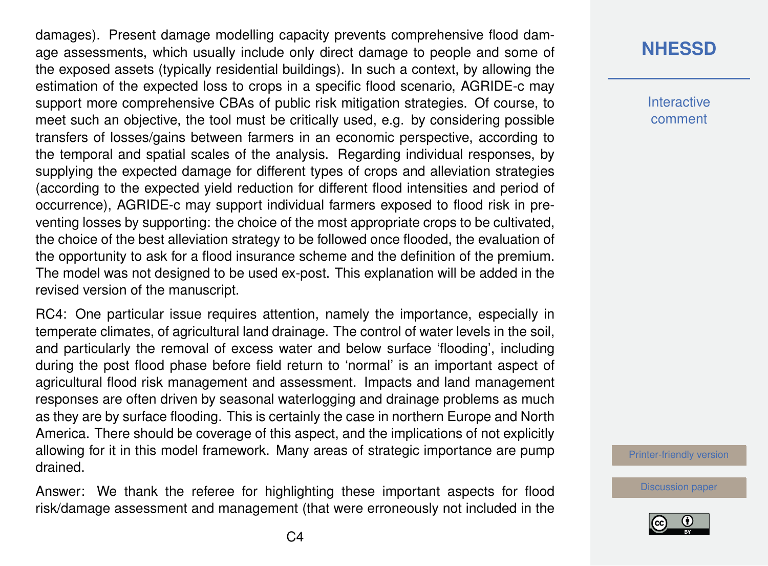damages). Present damage modelling capacity prevents comprehensive flood damage assessments, which usually include only direct damage to people and some of the exposed assets (typically residential buildings). In such a context, by allowing the estimation of the expected loss to crops in a specific flood scenario, AGRIDE-c may support more comprehensive CBAs of public risk mitigation strategies. Of course, to meet such an objective, the tool must be critically used, e.g. by considering possible transfers of losses/gains between farmers in an economic perspective, according to the temporal and spatial scales of the analysis. Regarding individual responses, by supplying the expected damage for different types of crops and alleviation strategies (according to the expected yield reduction for different flood intensities and period of occurrence), AGRIDE-c may support individual farmers exposed to flood risk in preventing losses by supporting: the choice of the most appropriate crops to be cultivated, the choice of the best alleviation strategy to be followed once flooded, the evaluation of the opportunity to ask for a flood insurance scheme and the definition of the premium. The model was not designed to be used ex-post. This explanation will be added in the revised version of the manuscript.

RC4: One particular issue requires attention, namely the importance, especially in temperate climates, of agricultural land drainage. The control of water levels in the soil, and particularly the removal of excess water and below surface 'flooding', including during the post flood phase before field return to 'normal' is an important aspect of agricultural flood risk management and assessment. Impacts and land management responses are often driven by seasonal waterlogging and drainage problems as much as they are by surface flooding. This is certainly the case in northern Europe and North America. There should be coverage of this aspect, and the implications of not explicitly allowing for it in this model framework. Many areas of strategic importance are pump drained.

Answer: We thank the referee for highlighting these important aspects for flood risk/damage assessment and management (that were erroneously not included in the

### **[NHESSD](https://www.nat-hazards-earth-syst-sci-discuss.net/)**

**Interactive** comment

[Printer-friendly version](https://www.nat-hazards-earth-syst-sci-discuss.net/nhess-2019-61/nhess-2019-61-AC2-print.pdf)

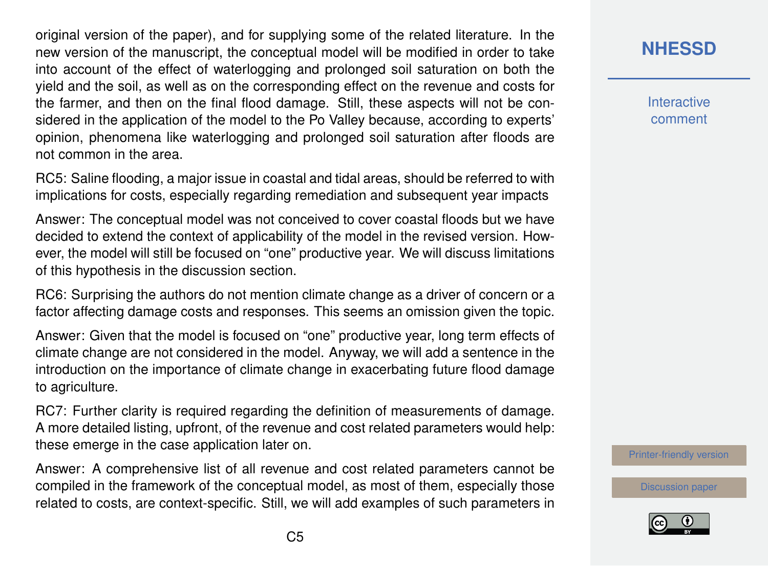original version of the paper), and for supplying some of the related literature. In the new version of the manuscript, the conceptual model will be modified in order to take into account of the effect of waterlogging and prolonged soil saturation on both the yield and the soil, as well as on the corresponding effect on the revenue and costs for the farmer, and then on the final flood damage. Still, these aspects will not be considered in the application of the model to the Po Valley because, according to experts' opinion, phenomena like waterlogging and prolonged soil saturation after floods are not common in the area.

RC5: Saline flooding, a major issue in coastal and tidal areas, should be referred to with implications for costs, especially regarding remediation and subsequent year impacts

Answer: The conceptual model was not conceived to cover coastal floods but we have decided to extend the context of applicability of the model in the revised version. However, the model will still be focused on "one" productive year. We will discuss limitations of this hypothesis in the discussion section.

RC6: Surprising the authors do not mention climate change as a driver of concern or a factor affecting damage costs and responses. This seems an omission given the topic.

Answer: Given that the model is focused on "one" productive year, long term effects of climate change are not considered in the model. Anyway, we will add a sentence in the introduction on the importance of climate change in exacerbating future flood damage to agriculture.

RC7: Further clarity is required regarding the definition of measurements of damage. A more detailed listing, upfront, of the revenue and cost related parameters would help: these emerge in the case application later on.

Answer: A comprehensive list of all revenue and cost related parameters cannot be compiled in the framework of the conceptual model, as most of them, especially those related to costs, are context-specific. Still, we will add examples of such parameters in

## **[NHESSD](https://www.nat-hazards-earth-syst-sci-discuss.net/)**

**Interactive** comment

[Printer-friendly version](https://www.nat-hazards-earth-syst-sci-discuss.net/nhess-2019-61/nhess-2019-61-AC2-print.pdf)

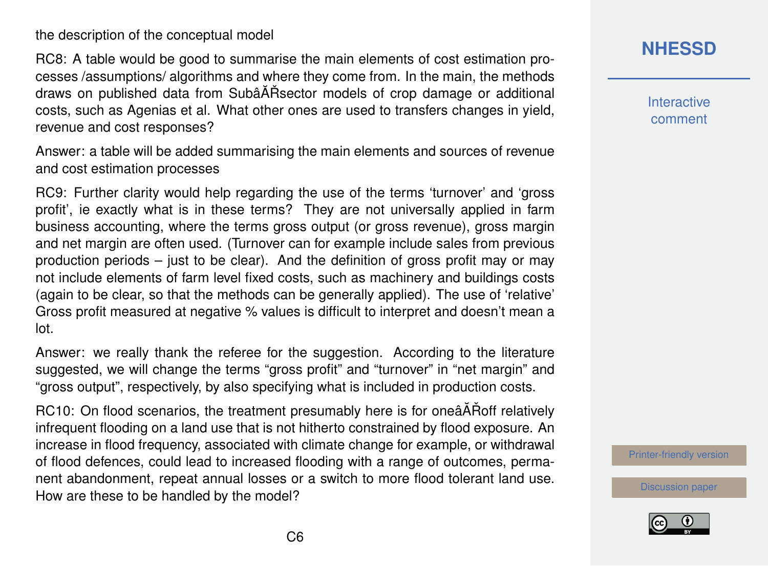the description of the conceptual model

RC8: A table would be good to summarise the main elements of cost estimation processes /assumptions/ algorithms and where they come from. In the main, the methods draws on published data from SubâÅ $R$ Sector models of crop damage or additional costs, such as Agenias et al. What other ones are used to transfers changes in yield, revenue and cost responses?

Answer: a table will be added summarising the main elements and sources of revenue and cost estimation processes

RC9: Further clarity would help regarding the use of the terms 'turnover' and 'gross profit', ie exactly what is in these terms? They are not universally applied in farm business accounting, where the terms gross output (or gross revenue), gross margin and net margin are often used. (Turnover can for example include sales from previous production periods – just to be clear). And the definition of gross profit may or may not include elements of farm level fixed costs, such as machinery and buildings costs (again to be clear, so that the methods can be generally applied). The use of 'relative' Gross profit measured at negative % values is difficult to interpret and doesn't mean a lot.

Answer: we really thank the referee for the suggestion. According to the literature suggested, we will change the terms "gross profit" and "turnover" in "net margin" and "gross output", respectively, by also specifying what is included in production costs.

RC10: On flood scenarios, the treatment presumably here is for oneâAT Roff relatively infrequent flooding on a land use that is not hitherto constrained by flood exposure. An increase in flood frequency, associated with climate change for example, or withdrawal of flood defences, could lead to increased flooding with a range of outcomes, permanent abandonment, repeat annual losses or a switch to more flood tolerant land use. How are these to be handled by the model?

## **[NHESSD](https://www.nat-hazards-earth-syst-sci-discuss.net/)**

**Interactive** comment

[Printer-friendly version](https://www.nat-hazards-earth-syst-sci-discuss.net/nhess-2019-61/nhess-2019-61-AC2-print.pdf)

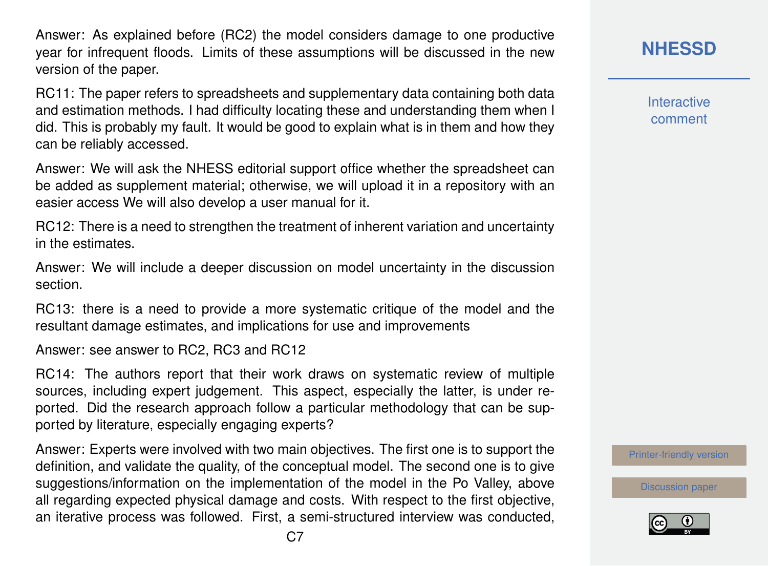Answer: As explained before (RC2) the model considers damage to one productive year for infrequent floods. Limits of these assumptions will be discussed in the new version of the paper.

RC11: The paper refers to spreadsheets and supplementary data containing both data and estimation methods. I had difficulty locating these and understanding them when I did. This is probably my fault. It would be good to explain what is in them and how they can be reliably accessed.

Answer: We will ask the NHESS editorial support office whether the spreadsheet can be added as supplement material; otherwise, we will upload it in a repository with an easier access We will also develop a user manual for it.

RC12: There is a need to strengthen the treatment of inherent variation and uncertainty in the estimates.

Answer: We will include a deeper discussion on model uncertainty in the discussion section.

RC13: there is a need to provide a more systematic critique of the model and the resultant damage estimates, and implications for use and improvements

Answer: see answer to RC2, RC3 and RC12

RC14: The authors report that their work draws on systematic review of multiple sources, including expert judgement. This aspect, especially the latter, is under reported. Did the research approach follow a particular methodology that can be supported by literature, especially engaging experts?

Answer: Experts were involved with two main objectives. The first one is to support the definition, and validate the quality, of the conceptual model. The second one is to give suggestions/information on the implementation of the model in the Po Valley, above all regarding expected physical damage and costs. With respect to the first objective, an iterative process was followed. First, a semi-structured interview was conducted, **[NHESSD](https://www.nat-hazards-earth-syst-sci-discuss.net/)**

**Interactive** comment

[Printer-friendly version](https://www.nat-hazards-earth-syst-sci-discuss.net/nhess-2019-61/nhess-2019-61-AC2-print.pdf)